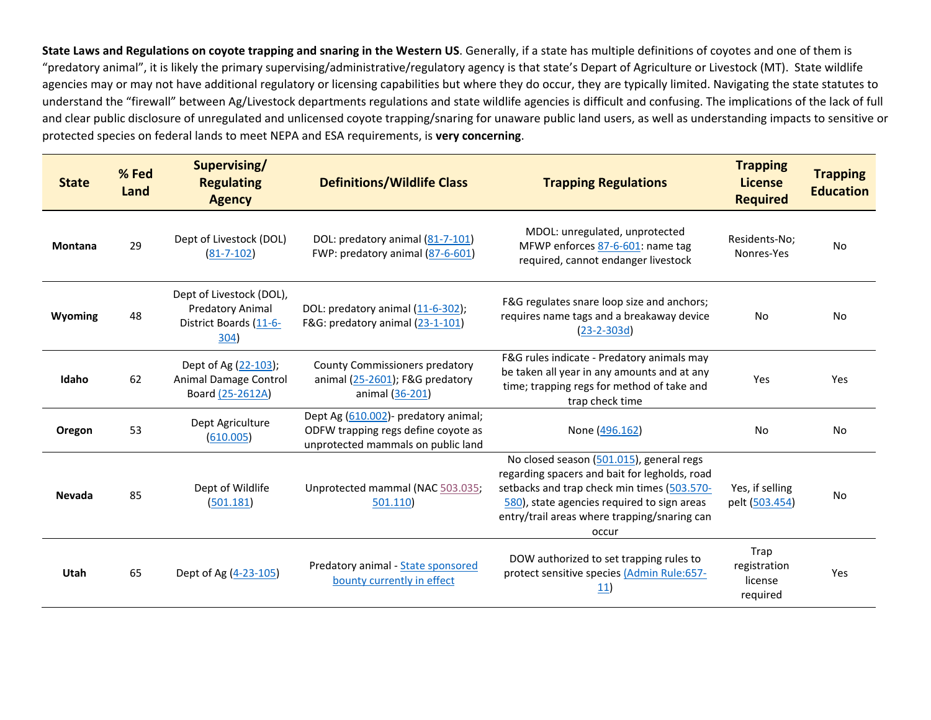**State Laws and Regulations on coyote trapping and snaring in the Western US**. Generally, if a state has multiple definitions of coyotes and one of them is "predatory animal", it is likely the primary supervising/administrative/regulatory agency is that state's Depart of Agriculture or Livestock (MT). State wildlife agencies may or may not have additional regulatory or licensing capabilities but where they do occur, they are typically limited. Navigating the state statutes to understand the "firewall" between Ag/Livestock departments regulations and state wildlife agencies is difficult and confusing. The implications of the lack of full and clear public disclosure of unregulated and unlicensed coyote trapping/snaring for unaware public land users, as well as understanding impacts to sensitive or protected species on federal lands to meet NEPA and ESA requirements, is **very concerning**.

| <b>State</b>   | % Fed<br>Land | Supervising/<br><b>Regulating</b><br><b>Agency</b>                                    | <b>Definitions/Wildlife Class</b>                                                                                  | <b>Trapping Regulations</b>                                                                                                                                                                                                                      | <b>Trapping</b><br><b>License</b><br><b>Required</b> | <b>Trapping</b><br><b>Education</b> |
|----------------|---------------|---------------------------------------------------------------------------------------|--------------------------------------------------------------------------------------------------------------------|--------------------------------------------------------------------------------------------------------------------------------------------------------------------------------------------------------------------------------------------------|------------------------------------------------------|-------------------------------------|
| <b>Montana</b> | 29            | Dept of Livestock (DOL)<br>$(81 - 7 - 102)$                                           | DOL: predatory animal (81-7-101)<br>FWP: predatory animal (87-6-601)                                               | MDOL: unregulated, unprotected<br>MFWP enforces 87-6-601: name tag<br>required, cannot endanger livestock                                                                                                                                        | Residents-No;<br>Nonres-Yes                          | <b>No</b>                           |
| Wyoming        | 48            | Dept of Livestock (DOL),<br><b>Predatory Animal</b><br>District Boards (11-6-<br>304) | DOL: predatory animal (11-6-302);<br>F&G: predatory animal (23-1-101)                                              | F&G regulates snare loop size and anchors;<br>requires name tags and a breakaway device<br>$(23-2-303d)$                                                                                                                                         | No                                                   | No                                  |
| Idaho          | 62            | Dept of Ag (22-103);<br>Animal Damage Control<br>Board (25-2612A)                     | County Commissioners predatory<br>animal (25-2601); F&G predatory<br>animal (36-201)                               | F&G rules indicate - Predatory animals may<br>be taken all year in any amounts and at any<br>time; trapping regs for method of take and<br>trap check time                                                                                       | Yes                                                  | Yes                                 |
| Oregon         | 53            | Dept Agriculture<br>(610.005)                                                         | Dept Ag (610.002) - predatory animal;<br>ODFW trapping regs define coyote as<br>unprotected mammals on public land | None (496.162)                                                                                                                                                                                                                                   | No                                                   | No                                  |
| <b>Nevada</b>  | 85            | Dept of Wildlife<br>(501.181)                                                         | Unprotected mammal (NAC 503.035;<br>501.110)                                                                       | No closed season (501.015), general regs<br>regarding spacers and bait for legholds, road<br>setbacks and trap check min times (503.570-<br>580), state agencies required to sign areas<br>entry/trail areas where trapping/snaring can<br>occur | Yes, if selling<br>pelt (503.454)                    | No                                  |
| Utah           | 65            | Dept of Ag (4-23-105)                                                                 | Predatory animal - State sponsored<br>bounty currently in effect                                                   | DOW authorized to set trapping rules to<br>protect sensitive species (Admin Rule:657-<br>11)                                                                                                                                                     | Trap<br>registration<br>license<br>required          | Yes                                 |